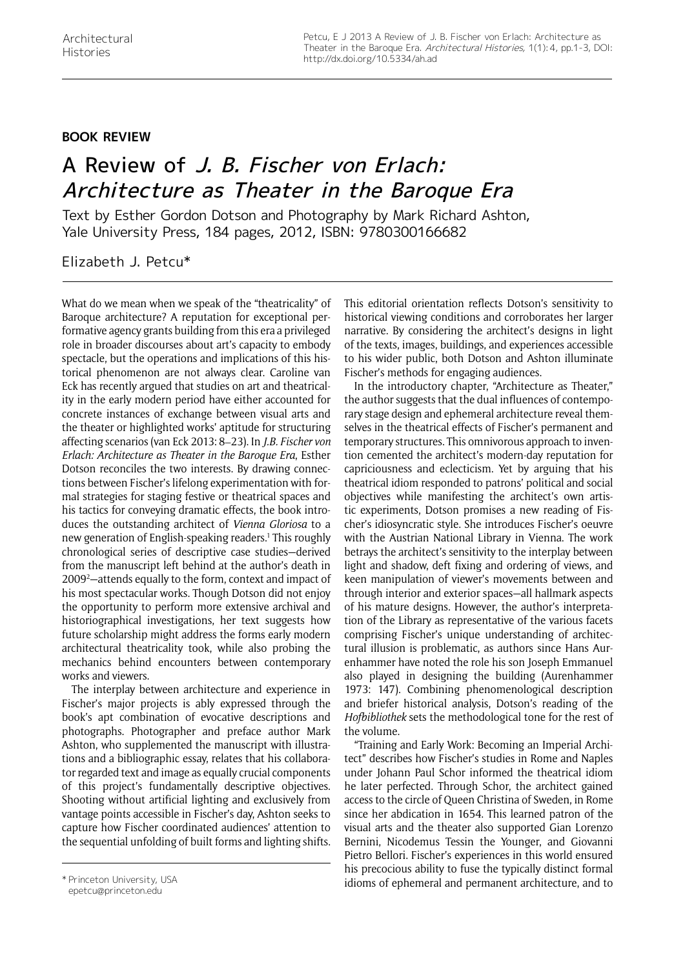## **Book Review**

## A Review of J. B. Fischer von Erlach: Architecture as Theater in the Baroque Era

Text by Esther Gordon Dotson and Photography by Mark Richard Ashton, Yale University Press, 184 pages, 2012, ISBN: 9780300166682

Elizabeth J. Petcu\*

What do we mean when we speak of the "theatricality" of Baroque architecture? A reputation for exceptional performative agency grants building from this era a privileged role in broader discourses about art's capacity to embody spectacle, but the operations and implications of this historical phenomenon are not always clear. Caroline van Eck has recently argued that studies on art and theatricality in the early modern period have either accounted for concrete instances of exchange between visual arts and the theater or highlighted works' aptitude for structuring affecting scenarios (van Eck 2013: 8–23). In *J.B. Fischer von Erlach: Architecture as Theater in the Baroque Era*, Esther Dotson reconciles the two interests. By drawing connections between Fischer's lifelong experimentation with formal strategies for staging festive or theatrical spaces and his tactics for conveying dramatic effects, the book introduces the outstanding architect of *Vienna Gloriosa* to a new generation of English-speaking readers.1 This roughly chronological series of descriptive case studies—derived from the manuscript left behind at the author's death in 2009<sup>2</sup>—attends equally to the form, context and impact of his most spectacular works. Though Dotson did not enjoy the opportunity to perform more extensive archival and historiographical investigations, her text suggests how future scholarship might address the forms early modern architectural theatricality took, while also probing the mechanics behind encounters between contemporary works and viewers.

The interplay between architecture and experience in Fischer's major projects is ably expressed through the book's apt combination of evocative descriptions and photographs. Photographer and preface author Mark Ashton, who supplemented the manuscript with illustrations and a bibliographic essay, relates that his collaborator regarded text and image as equally crucial components of this project's fundamentally descriptive objectives. Shooting without artificial lighting and exclusively from vantage points accessible in Fischer's day, Ashton seeks to capture how Fischer coordinated audiences' attention to the sequential unfolding of built forms and lighting shifts.

This editorial orientation reflects Dotson's sensitivity to historical viewing conditions and corroborates her larger narrative. By considering the architect's designs in light of the texts, images, buildings, and experiences accessible to his wider public, both Dotson and Ashton illuminate Fischer's methods for engaging audiences.

In the introductory chapter, "Architecture as Theater," the author suggests that the dual influences of contemporary stage design and ephemeral architecture reveal themselves in the theatrical effects of Fischer's permanent and temporary structures. This omnivorous approach to invention cemented the architect's modern-day reputation for capriciousness and eclecticism. Yet by arguing that his theatrical idiom responded to patrons' political and social objectives while manifesting the architect's own artistic experiments, Dotson promises a new reading of Fischer's idiosyncratic style. She introduces Fischer's oeuvre with the Austrian National Library in Vienna. The work betrays the architect's sensitivity to the interplay between light and shadow, deft fixing and ordering of views, and keen manipulation of viewer's movements between and through interior and exterior spaces—all hallmark aspects of his mature designs. However, the author's interpretation of the Library as representative of the various facets comprising Fischer's unique understanding of architectural illusion is problematic, as authors since Hans Aurenhammer have noted the role his son Joseph Emmanuel also played in designing the building (Aurenhammer 1973: 147). Combining phenomenological description and briefer historical analysis, Dotson's reading of the *Hofbibliothek* sets the methodological tone for the rest of the volume.

"Training and Early Work: Becoming an Imperial Architect" describes how Fischer's studies in Rome and Naples under Johann Paul Schor informed the theatrical idiom he later perfected. Through Schor, the architect gained access to the circle of Queen Christina of Sweden, in Rome since her abdication in 1654. This learned patron of the visual arts and the theater also supported Gian Lorenzo Bernini, Nicodemus Tessin the Younger, and Giovanni Pietro Bellori. Fischer's experiences in this world ensured his precocious ability to fuse the typically distinct formal \* Princeton University, USA **idioms of ephemeral and permanent architecture**, and to

epetcu@princeton.edu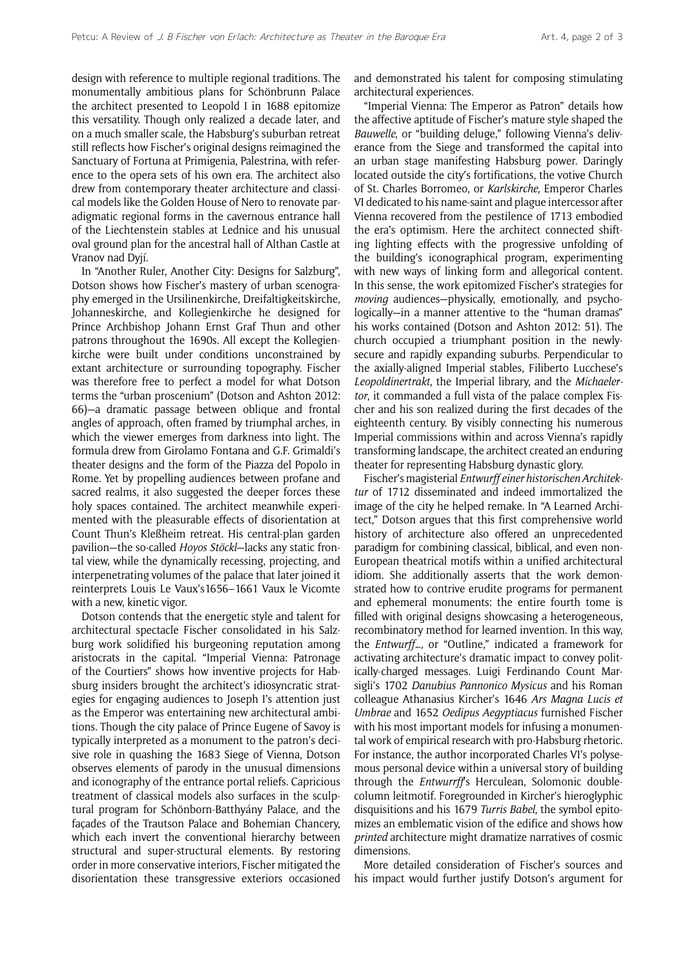design with reference to multiple regional traditions. The monumentally ambitious plans for Schönbrunn Palace the architect presented to Leopold I in 1688 epitomize this versatility. Though only realized a decade later, and on a much smaller scale, the Habsburg's suburban retreat still reflects how Fischer's original designs reimagined the Sanctuary of Fortuna at Primigenia, Palestrina, with reference to the opera sets of his own era. The architect also drew from contemporary theater architecture and classical models like the Golden House of Nero to renovate paradigmatic regional forms in the cavernous entrance hall of the Liechtenstein stables at Lednice and his unusual oval ground plan for the ancestral hall of Althan Castle at Vranov nad Dyjí.

In "Another Ruler, Another City: Designs for Salzburg", Dotson shows how Fischer's mastery of urban scenography emerged in the Ursilinenkirche, Dreifaltigkeitskirche, Johanneskirche, and Kollegienkirche he designed for Prince Archbishop Johann Ernst Graf Thun and other patrons throughout the 1690s. All except the Kollegienkirche were built under conditions unconstrained by extant architecture or surrounding topography. Fischer was therefore free to perfect a model for what Dotson terms the "urban proscenium" (Dotson and Ashton 2012: 66)—a dramatic passage between oblique and frontal angles of approach, often framed by triumphal arches, in which the viewer emerges from darkness into light. The formula drew from Girolamo Fontana and G.F. Grimaldi's theater designs and the form of the Piazza del Popolo in Rome. Yet by propelling audiences between profane and sacred realms, it also suggested the deeper forces these holy spaces contained. The architect meanwhile experimented with the pleasurable effects of disorientation at Count Thun's Kleßheim retreat. His central-plan garden pavilion—the so-called *Hoyos Stöckl*—lacks any static frontal view, while the dynamically recessing, projecting, and interpenetrating volumes of the palace that later joined it reinterprets Louis Le Vaux's1656–1661 Vaux le Vicomte with a new, kinetic vigor.

Dotson contends that the energetic style and talent for architectural spectacle Fischer consolidated in his Salzburg work solidified his burgeoning reputation among aristocrats in the capital. "Imperial Vienna: Patronage of the Courtiers" shows how inventive projects for Habsburg insiders brought the architect's idiosyncratic strategies for engaging audiences to Joseph I's attention just as the Emperor was entertaining new architectural ambitions. Though the city palace of Prince Eugene of Savoy is typically interpreted as a monument to the patron's decisive role in quashing the 1683 Siege of Vienna, Dotson observes elements of parody in the unusual dimensions and iconography of the entrance portal reliefs. Capricious treatment of classical models also surfaces in the sculptural program for Schönborn-Batthyány Palace, and the façades of the Trautson Palace and Bohemian Chancery, which each invert the conventional hierarchy between structural and super-structural elements. By restoring order in more conservative interiors, Fischer mitigated the disorientation these transgressive exteriors occasioned

and demonstrated his talent for composing stimulating architectural experiences.

"Imperial Vienna: The Emperor as Patron" details how the affective aptitude of Fischer's mature style shaped the *Bauwelle*, or "building deluge," following Vienna's deliverance from the Siege and transformed the capital into an urban stage manifesting Habsburg power. Daringly located outside the city's fortifications, the votive Church of St. Charles Borromeo, or *Karlskirche,* Emperor Charles VI dedicated to his name-saint and plague intercessor after Vienna recovered from the pestilence of 1713 embodied the era's optimism. Here the architect connected shifting lighting effects with the progressive unfolding of the building's iconographical program, experimenting with new ways of linking form and allegorical content. In this sense, the work epitomized Fischer's strategies for *moving* audiences—physically, emotionally, and psychologically—in a manner attentive to the "human dramas" his works contained (Dotson and Ashton 2012: 51). The church occupied a triumphant position in the newlysecure and rapidly expanding suburbs. Perpendicular to the axially-aligned Imperial stables, Filiberto Lucchese's *Leopoldinertrakt*, the Imperial library, and the *Michaelertor*, it commanded a full vista of the palace complex Fischer and his son realized during the first decades of the eighteenth century. By visibly connecting his numerous Imperial commissions within and across Vienna's rapidly transforming landscape, the architect created an enduring theater for representing Habsburg dynastic glory.

Fischer's magisterial *Entwurff einer historischen Architektur* of 1712 disseminated and indeed immortalized the image of the city he helped remake. In "A Learned Architect," Dotson argues that this first comprehensive world history of architecture also offered an unprecedented paradigm for combining classical, biblical, and even non-European theatrical motifs within a unified architectural idiom. She additionally asserts that the work demonstrated how to contrive erudite programs for permanent and ephemeral monuments: the entire fourth tome is filled with original designs showcasing a heterogeneous, recombinatory method for learned invention. In this way, the *Entwurff…,* or "Outline," indicated a framework for activating architecture's dramatic impact to convey politically-charged messages. Luigi Ferdinando Count Marsigli's 1702 *Danubius Pannonico Mysicus* and his Roman colleague Athanasius Kircher's 1646 *Ars Magna Lucis et Umbrae* and 1652 *Oedipus Aegyptiacus* furnished Fischer with his most important models for infusing a monumental work of empirical research with pro-Habsburg rhetoric. For instance, the author incorporated Charles VI's polysemous personal device within a universal story of building through the *Entwurrff*'s Herculean, Solomonic doublecolumn leitmotif. Foregrounded in Kircher's hieroglyphic disquisitions and his 1679 *Turris Babel*, the symbol epitomizes an emblematic vision of the edifice and shows how *printed* architecture might dramatize narratives of cosmic dimensions.

More detailed consideration of Fischer's sources and his impact would further justify Dotson's argument for